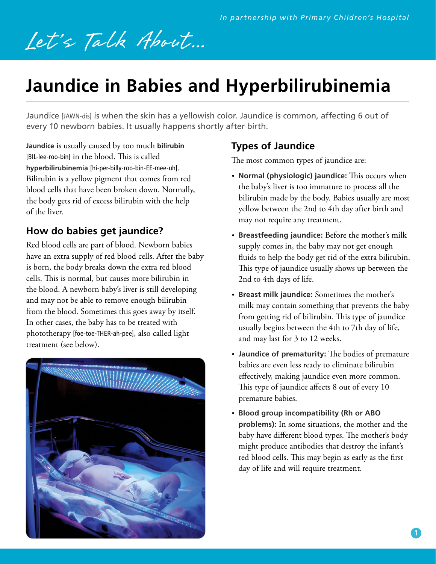# Let's Talk About...

# **Jaundice in Babies and Hyperbilirubinemia**

Jaundice [JAWN-dis] is when the skin has a yellowish color. Jaundice is common, affecting 6 out of every 10 newborn babies. It usually happens shortly after birth.

**Jaundice** is usually caused by too much **bilirubin**  [BIL-lee-roo-bin] in the blood. This is called **hyperbilirubinemia** [hi-per-billy-roo-bin-EE-mee-uh]. Bilirubin is a yellow pigment that comes from red blood cells that have been broken down. Normally, the body gets rid of excess bilirubin with the help of the liver.

## **How do babies get jaundice?**

Red blood cells are part of blood. Newborn babies have an extra supply of red blood cells. After the baby is born, the body breaks down the extra red blood cells. This is normal, but causes more bilirubin in the blood. A newborn baby's liver is still developing and may not be able to remove enough bilirubin from the blood. Sometimes this goes away by itself. In other cases, the baby has to be treated with phototherapy [foe-toe-THER-ah-pee], also called light treatment (see below).



## **Types of Jaundice**

The most common types of jaundice are:

- **Normal (physiologic) jaundice:** This occurs when the baby's liver is too immature to process all the bilirubin made by the body. Babies usually are most yellow between the 2nd to 4th day after birth and may not require any treatment.
- **Breastfeeding jaundice:** Before the mother's milk supply comes in, the baby may not get enough fluids to help the body get rid of the extra bilirubin. This type of jaundice usually shows up between the 2nd to 4th days of life.
- **Breast milk jaundice:** Sometimes the mother's milk may contain something that prevents the baby from getting rid of bilirubin. This type of jaundice usually begins between the 4th to 7th day of life, and may last for 3 to 12 weeks.
- **Jaundice of prematurity:** The bodies of premature babies are even less ready to eliminate bilirubin effectively, making jaundice even more common. This type of jaundice affects 8 out of every 10 premature babies.
- **Blood group incompatibility (Rh or ABO problems):** In some situations, the mother and the baby have different blood types. The mother's body might produce antibodies that destroy the infant's red blood cells. This may begin as early as the first day of life and will require treatment.